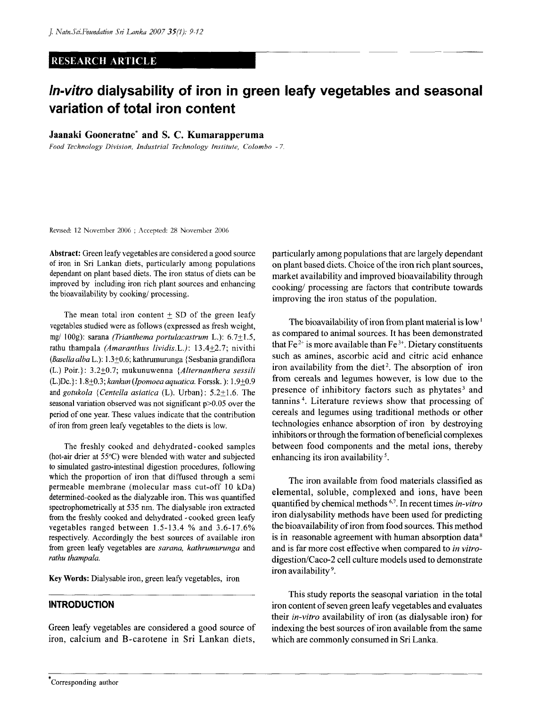## RESEARCH ARTICLE

# **ln-vitro dialysability of iron in green leafy vegetables and seasonal variation of total iron content**

**Jaanaki Gooneratne\* and S. C. Kumarapperuma** 

*Food Technology Division, Industrial Technology Institute, Colombo - 7.* 

Revised: 12 November 2006 ; Accepted: 28 November 2006

Abstract: Green leafy vegetables are considered a good source of iron in Sri Lankan diets, particularly among populations dependant on plant based diets. The iron status of diets can be improved by including iron rich plant sources and enhancing the bioavailability by cooking/ processing.

The mean total iron content  $\pm$  SD of the green leafy vegetables studied were as follows (expressed as fresh weight, mg/ 100g): sarana *(Trianthema portulacastrum* L.): 6.7 $\pm$ 1.5, rathu thampala (Amaranthus lividis.L.): 13.4+2.7; nivithi *(BasellaalbaL,):* 1.3+0.6;kathrumurunga {Sesbaniagrandiflora (L.) Poir.}: 3.2+0.7; mukunuwenna *{Alternanthera sessili*  (L.)Dc.}: 1.8+0.3; *kankun (Ipomoea aquatica.* Forssk.): 1.9±0.9 and gotukola {Centella asiatica (L). Urban}: 5.2±1.6. The seasonal variation observed was not significant p>0.05 over the period of one year. These values indicate that the contribution of iron from green leafy vegetables to the diets is low.

The freshly cooked and dehydrated-cooked samples (hot-air drier at 55°C) were blended with water and subjected to simulated gastro-intestinal digestion procedures, following which the proportion of iron that diffused through a semi permeable membrane (molecular mass cut-off 10 kDa) determined-cooked as the dialyzable iron. This was quantified spectrophometrically at 535 nm. The dialysable iron extracted from the freshly cooked and dehydrated - cooked green leafy vegetables ranged between 1.5-13.4 % and 3.6-17.6% respectively. Accordingly the best sources of available iron from green leafy vegetables are *sarana, kathrumurunga* and *rathu thampala.* 

Key Words: Dialysable iron, green leafy vegetables, iron

## **INTRODUCTION**

Green leafy vegetables are considered a good source of iron, calcium and B-carotene in Sri Lankan diets, particularly among populations that are largely dependant on plant based diets. Choice of the iron rich plant sources, market availability and improved bioavailability through cooking/ processing are factors that contribute towards improving the iron status of the population.

The bioavailability of iron from plant material is low<sup>1</sup> as compared to animal sources. It has been demonstrated that  $Fe^{2+}$  is more available than  $Fe^{3+}$ . Dietary constituents such as amines, ascorbic acid and citric acid enhance iron availability from the diet<sup>2</sup>. The absorption of iron from cereals and legumes however, is low due to the presence of inhibitory factors such as phytates<sup>3</sup> and tannins<sup>4</sup>. Literature reviews show that processing of cereals and legumes using traditional methods or other technologies enhance absorption of iron by destroying inhibitors or through the formation of beneficial complexes between food components and the metal ions, thereby enhancing its iron availability<sup>5</sup>.

The iron available from food materials classified as elemental, soluble, complexed and ions, have been quantified by chemical methods <sup>6,7</sup>. In recent times *in-vitro* iron dialysability methods have been used for predicting the bioavailability of iron from food sources. This method is in reasonable agreement with human absorption data $8$ and is far more cost effective when compared to *in vitro*digestion/Caco-2 cell culture models used to demonstrate iron availability<sup>9</sup>.

This study reports the seasonal variation in the total iron content of seven green leafy vegetables and evaluates their *in-vitro* availability of iron (as dialysable iron) for indexing the best sources of iron available from the same which are commonly consumed in Sri Lanka.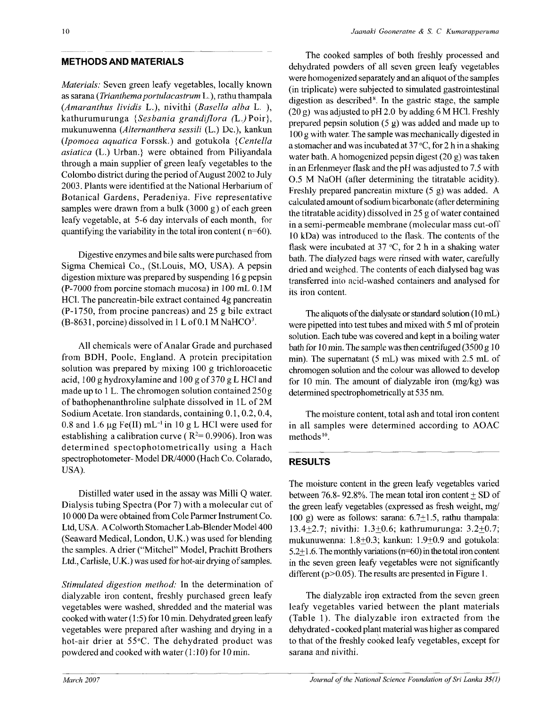## METHODS AND MATERIALS

*Materials:* Seven green leafy vegetables, locally known as sarana *{Trianihemaportulacastrum* L.), rathu thampala *{Amaranthus lividis* L.)? nivithi *{Basella alba* L. ), kathurumurunga {Sesbania grandiflora (L.)Poir}, mukunuwenna *{Alternanthera sessili* (L.) Da), kankun *(Ipomoea aquatica* Forssk.) and gotukola *{Centella asiatica* (L.) Urban.} were obtained from Piliyandala through a main supplier of green leafy vegetables to the Colombo district during the period of August 2002 to July 2003. Plants were identified at the National Herbarium of Botanical Gardens, Peradeniya. Five representative samples were drawn from a bulk (3000 g) of each green leafy vegetable, at 5-6 day intervals of each month, for quantifying the variability in the total iron content ( $n=60$ ).

Digestive enzymes and bile salts were purchased from Sigma Chemical Co., (St.Louis, MO, USA). A pepsin digestion mixture was prepared by suspending 16 g pepsin (P-7000 from porcine stomach mucosa) in 100 mL 0.1M HC1. The pancreatin-bile extract contained 4g pancreatin (P-1750, from procine pancreas) and 25 g bile extract  $(B-8631,$  porcine) dissolved in 1 L of 0.1 M NaHCO<sup>3</sup>.

All chemicals were of Analar Grade and purchased from BDH, Poole, England. A protein precipitation solution was prepared by mixing 100 g trichloroacetic acid, 100 g hydroxylamine and 100 g of 370 g L HC1 and made up to 1 L. The chromogen solution contained 250 g of bathophenanthroline sulphate dissolved in 1L of 2M Sodium Acetate. Iron standards, containing 0.1,0.2,0.4, 0.8 and 1.6  $\mu$ g Fe(II) mL<sup>-1</sup> in 10 g L HCl were used for establishing a calibration curve ( $R^2 = 0.9906$ ). Iron was determined spectophotometrically using a Hach spectrophotometer- Model DR/4000 (Hach Co. Colarado, USA).

Distilled water used in the assay was Milli Q water. Dialysis tubing Spectra (Por 7) with a molecular cut of 10 000 Da were obtained from Cole Parmer Instrument Co. Ltd, USA. A Colworth Stomacher Lab-Blender Model 400 (Seaward Medical, London, U.K.) was used for blending the samples. A drier ("Mitchel" Model, Prachitt Brothers Ltd., Carlisle, U.K.) was used for hot-air drying of samples.

*Stimulated digestion method:* In the determination of dialyzable iron content, freshly purchased green leafy vegetables were washed, shredded and the material was cooked with water (1:5) for 10 min. Dehydrated green leafy vegetables were prepared after washing and drying in a hot-air drier at 55°C. The dehydrated product was powdered and cooked with water (1:10) for 10 min.

The cooked samples of both freshly processed and dehydrated powders of all seven green leafy vegetables were homogenized separately and an aliquot of the samples (in triplicate) were subjected to simulated gastrointestinal digestion as described<sup>8</sup>. In the gastric stage, the sample  $(20 g)$  was adjusted to pH 2.0 by adding 6 M HCl. Freshly prepared pepsin solution (5 g) was added and made up to 100 g with water. The sample was mechanically digested in a stomacher and was incubated at 37 °C, for 2 h in a shaking water bath. A homogenized pepsin digest (20 g) was taken in an Erlenmeyer flask and the pH was adjusted to 7.5 with 0.5 M NaOH (after determining the titratable acidity). Freshly prepared pancreatin mixture (5 g) was added. A calculated amount of sodium bicarbonate (after determining the titratable acidity) dissolved in 25 g of water contained in a semi-permeable membrane (molecular mass cut-off 10 kDa) was introduced to the flask. The contents of the flask were incubated at 37  $\degree$ C, for 2 h in a shaking water bath. The dialyzed bags were rinsed with water, carefully dried and weighed. The contents of each dialysed bag was transferred into acid-washed containers and analysed for its iron content.

The aliquots of the dialysate or standard solution (10 mL) were pipetted into test tubes and mixed with 5 ml of protein solution. Each tube was covered and kept in a boiling water bath for 10 min. The sample was then centrifuged (3500 g 10 min). The supernatant (5 mL) was mixed with 2.5 mL of chromogen solution and the colour was allowed to develop for 10 min. The amount of dialyzable iron (mg/kg) was determined spectrophometrically at 535 nm.

The moisture content, total ash and total iron content in all samples were determined according to AOAC methods<sup>10</sup>.

# RESULTS

The moisture content in the green leafy vegetables varied between 76.8- 92.8%. The mean total iron content  $+$  SD of the green leafy vegetables (expressed as fresh weight, mg/ 100 g) were as follows: sarana: 6.7+1.5, rathu thampala: 13.4+2.7; nivithi:  $1.3 \pm 0.6$ ; kathrumurunga:  $3.2 \pm 0.7$ ; mukunuwenna: 1.8+0.3; kankun: 1.9±0.9 and gotukola: 5.2+1.6. The monthly variations (n=60) in the total iron content in the seven green leafy vegetables were not significantly different ( $p > 0.05$ ). The results are presented in Figure 1.

The dialyzable iron extracted from the seven green leafy vegetables varied between the plant materials (Table 1). The dialyzable iron extracted from the dehydrated - cooked plant material was higher as compared to that of the freshly cooked leafy vegetables, except for sarana and nivithi.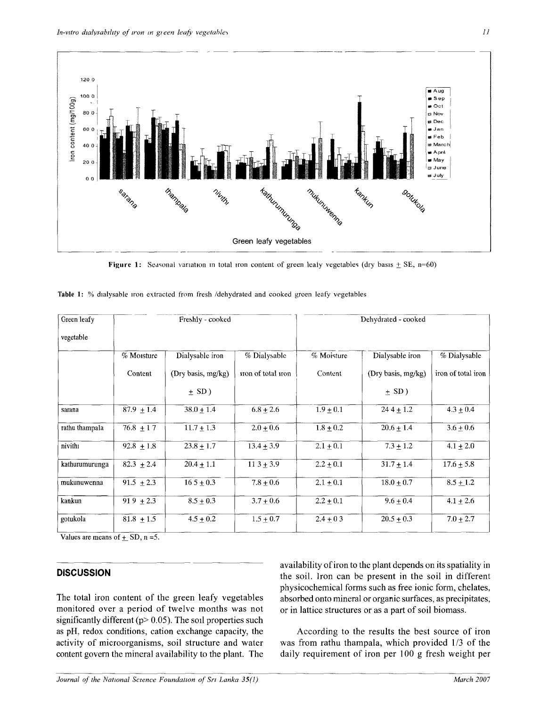

**Figure 1:** Seasonal variation in total iron content of green leaty vegetables (dry basis  $\pm$  SE, n=60)

| Green leafy    | Freshly - cooked |                    |                    | Dehydrated - cooked |                    |                    |
|----------------|------------------|--------------------|--------------------|---------------------|--------------------|--------------------|
| vegetable      |                  |                    |                    |                     |                    |                    |
|                | % Moisture       | Dialysable iron    | % Dialysable       | % Moisture          | Dialysable iron    | % Dialysable       |
|                | Content          | (Dry basis, mg/kg) | iron of total iron | Content             | (Dry basis, mg/kg) | iron of total iron |
|                |                  | $\pm$ SD)          |                    |                     | $\pm$ SD)          |                    |
| sarana         | $87.9 \pm 1.4$   | $38.0 \pm 1.4$     | $6.8 + 2.6$        | $1.9 \pm 0.1$       | $244 + 1.2$        | $4.3 \pm 0.4$      |
| rathu thampala | $76.8 \pm 17$    | $11.7 + 1.3$       | $2.0 + 0.6$        | $1.8 \pm 0.2$       | $20.6 \pm 1.4$     | $3.6 \pm 0.6$      |
| nivithi        | $92.8 \pm 1.8$   | $23.8 \pm 1.7$     | $13.4 + 3.9$       | $2.1 \pm 0.1$       | $7.3 + 1.2$        | $4.1 + 2.0$        |
| kathurumurunga | $82.3 \pm 2.4$   | $20.4 \pm 1.1$     | $113 \pm 3.9$      | $2.2 \pm 0.1$       | $31.7 \pm 1.4$     | $17.6 \pm 5.8$     |
| mukunuwenna    | 91.5 $\pm 2.3$   | $16.5 \pm 0.3$     | $7.8 + 0.6$        | $2.1 \pm 0.1$       | $18.0 + 0.7$       | $8.5 \pm 1.2$      |
| kankun         | $919 \pm 2.3$    | $8.5 \pm 0.3$      | $3.7 + 0.6$        | $2.2 \pm 0.1$       | $9.6 + 0.4$        | $4.1 \pm 2.6$      |
| gotukola       | $81.8 \pm 1.5$   | $4.5 \pm 0.2$      | $1.5 \pm 0.7$      | $2.4 \pm 0.3$       | $20.5 \pm 0.3$     | $7.0 \pm 2.7$      |

**Table 1:** % dialysable iron extracted from fresh /dehydrated and cooked green leafy vegetables

Values are means of  $\pm$  SD, n =5.

# **DISCUSSION**

The total iron content of the green leafy vegetables monitored over a period of twelve months was not significantly different ( $p$  > 0.05). The soil properties such as pH, redox conditions, cation exchange capacity, the activity of microorganisms, soil structure and water content govern the mineral availability to the plant. The

availability of iron to the plant depends on its spatiality in the soil. Iron can be present in the soil in different physicochemical forms such as free ionic form, chelates, absorbed onto mineral or organic surfaces, as precipitates, or in lattice structures or as a part of soil biomass.

According to the results the best source of iron was from rathu thampala, which provided 1/3 of the daily requirement of iron per 100 g fresh weight per